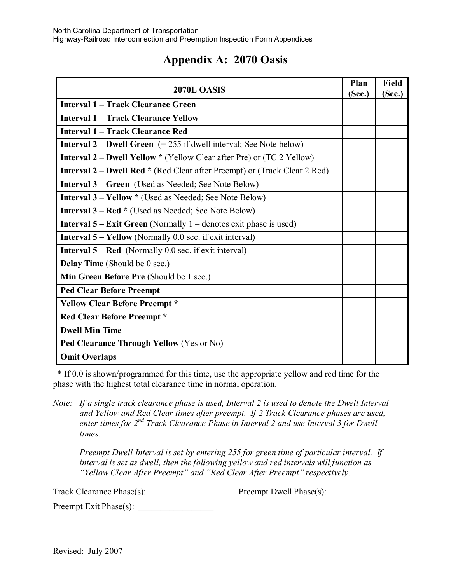## **Appendix A: 2070 Oasis**

| 2070L OASIS                                                                      | Plan<br>(Sec.) | <b>Field</b><br>(Sec.) |
|----------------------------------------------------------------------------------|----------------|------------------------|
| <b>Interval 1 – Track Clearance Green</b>                                        |                |                        |
| <b>Interval 1 – Track Clearance Yellow</b>                                       |                |                        |
| Interval 1 – Track Clearance Red                                                 |                |                        |
| <b>Interval 2 – Dwell Green</b> $(= 255$ if dwell interval; See Note below)      |                |                        |
| <b>Interval 2 – Dwell Yellow</b> * (Yellow Clear after Pre) or (TC 2 Yellow)     |                |                        |
| <b>Interval 2 – Dwell Red *</b> (Red Clear after Preempt) or (Track Clear 2 Red) |                |                        |
| <b>Interval 3 – Green</b> (Used as Needed; See Note Below)                       |                |                        |
| <b>Interval 3 – Yellow</b> * (Used as Needed; See Note Below)                    |                |                        |
| <b>Interval 3 – Red *</b> (Used as Needed; See Note Below)                       |                |                        |
| <b>Interval 5 – Exit Green</b> (Normally $1$ – denotes exit phase is used)       |                |                        |
| <b>Interval 5 – Yellow</b> (Normally 0.0 sec. if exit interval)                  |                |                        |
| <b>Interval 5 – Red</b> (Normally 0.0 sec. if exit interval)                     |                |                        |
| Delay Time (Should be 0 sec.)                                                    |                |                        |
| Min Green Before Pre (Should be 1 sec.)                                          |                |                        |
| <b>Ped Clear Before Preempt</b>                                                  |                |                        |
| <b>Yellow Clear Before Preempt *</b>                                             |                |                        |
| <b>Red Clear Before Preempt *</b>                                                |                |                        |
| <b>Dwell Min Time</b>                                                            |                |                        |
| Ped Clearance Through Yellow (Yes or No)                                         |                |                        |
| <b>Omit Overlaps</b>                                                             |                |                        |

 \* If 0.0 is shown/programmed for this time, use the appropriate yellow and red time for the phase with the highest total clearance time in normal operation.

*Note: If a single track clearance phase is used, Interval 2 is used to denote the Dwell Interval and Yellow and Red Clear times after preempt. If 2 Track Clearance phases are used, enter times for 2nd Track Clearance Phase in Interval 2 and use Interval 3 for Dwell times.*

*Preempt Dwell Interval is set by entering 255 for green time of particular interval. If interval is set as dwell, then the following yellow and red intervals will function as "Yellow Clear After Preempt" and "Red Clear After Preempt" respectively.*

Track Clearance Phase(s): \_\_\_\_\_\_\_\_\_\_\_\_\_\_ Preempt Dwell Phase(s): \_\_\_\_\_\_\_\_\_\_\_\_\_\_\_

Preempt Exit Phase(s): \_\_\_\_\_\_\_\_\_\_\_\_\_\_\_\_\_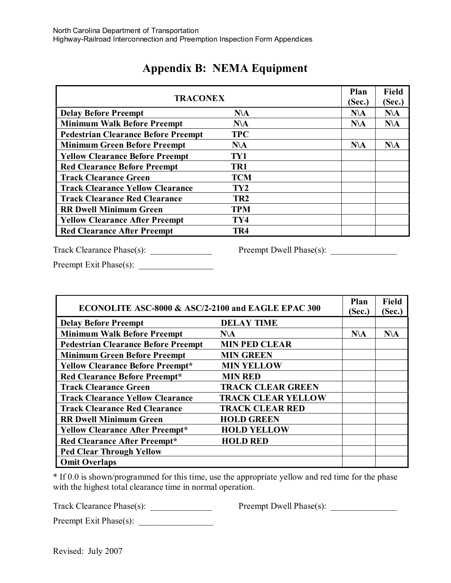| <b>TRACONEX</b>                            |                 | Plan<br>(Sec.) | <b>Field</b><br>(Sec.) |
|--------------------------------------------|-----------------|----------------|------------------------|
| <b>Delay Before Preempt</b>                | $N\Lambda$      | $N\Lambda$     | $N\Lambda$             |
| <b>Minimum Walk Before Preempt</b>         | $N\Lambda$      | $N\Lambda$     | $N\Lambda$             |
| <b>Pedestrian Clearance Before Preempt</b> | <b>TPC</b>      |                |                        |
| <b>Minimum Green Before Preempt</b>        | $N\Lambda$      | $N\Lambda$     | $N\Lambda$             |
| <b>Yellow Clearance Before Preempt</b>     | TY1             |                |                        |
| <b>Red Clearance Before Preempt</b>        | TR1             |                |                        |
| <b>Track Clearance Green</b>               | <b>TCM</b>      |                |                        |
| <b>Track Clearance Yellow Clearance</b>    | TY <sub>2</sub> |                |                        |
| <b>Track Clearance Red Clearance</b>       | TR <sub>2</sub> |                |                        |
| <b>RR Dwell Minimum Green</b>              | <b>TPM</b>      |                |                        |
| <b>Yellow Clearance After Preempt</b>      | TY4             |                |                        |
| <b>Red Clearance After Preempt</b>         | TR <sub>4</sub> |                |                        |

## **Appendix B: NEMA Equipment**

Track Clearance Phase(s): \_\_\_\_\_\_\_\_\_\_\_\_\_\_ Preempt Dwell Phase(s): \_\_\_\_\_\_\_\_\_\_\_\_\_\_\_

Preempt Exit Phase(s): \_\_\_\_\_\_\_\_\_\_\_\_\_\_\_\_\_

| ECONOLITE ASC-8000 & ASC/2-2100 and EAGLE EPAC 300 |                           | Plan<br>(Sec.) | <b>Field</b><br>(Sec.) |
|----------------------------------------------------|---------------------------|----------------|------------------------|
| <b>Delay Before Preempt</b>                        | <b>DELAY TIME</b>         |                |                        |
| <b>Minimum Walk Before Preempt</b>                 | $N\Lambda$                | $N\Lambda$     | $N\Lambda$             |
| <b>Pedestrian Clearance Before Preempt</b>         | <b>MIN PED CLEAR</b>      |                |                        |
| <b>Minimum Green Before Preempt</b>                | <b>MIN GREEN</b>          |                |                        |
| <b>Yellow Clearance Before Preempt*</b>            | <b>MIN YELLOW</b>         |                |                        |
| <b>Red Clearance Before Preempt*</b>               | <b>MIN RED</b>            |                |                        |
| <b>Track Clearance Green</b>                       | <b>TRACK CLEAR GREEN</b>  |                |                        |
| <b>Track Clearance Yellow Clearance</b>            | <b>TRACK CLEAR YELLOW</b> |                |                        |
| <b>Track Clearance Red Clearance</b>               | <b>TRACK CLEAR RED</b>    |                |                        |
| <b>RR Dwell Minimum Green</b>                      | <b>HOLD GREEN</b>         |                |                        |
| <b>Yellow Clearance After Preempt*</b>             | <b>HOLD YELLOW</b>        |                |                        |
| <b>Red Clearance After Preempt*</b>                | <b>HOLD RED</b>           |                |                        |
| <b>Ped Clear Through Yellow</b>                    |                           |                |                        |
| <b>Omit Overlaps</b>                               |                           |                |                        |

\* If 0.0 is shown/programmed for this time, use the appropriate yellow and red time for the phase with the highest total clearance time in normal operation.

Track Clearance Phase(s): \_\_\_\_\_\_\_\_\_\_\_\_\_\_ Preempt Dwell Phase(s): \_\_\_\_\_\_\_\_\_\_\_\_\_\_\_

Preempt Exit Phase(s): \_\_\_\_\_\_\_\_\_\_\_\_\_\_\_\_\_

Revised: July 2007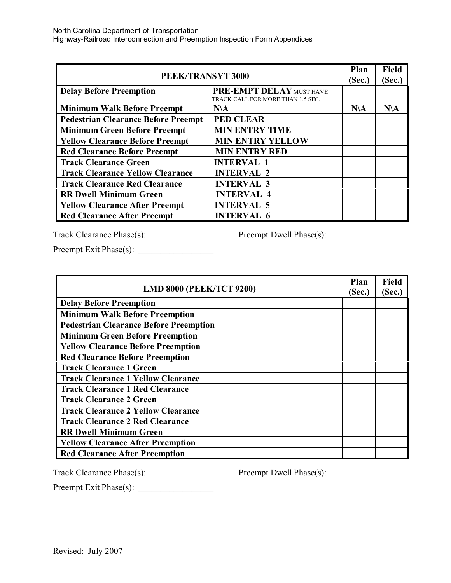| PEEK/TRANSYT 3000                          |                                                               | Plan<br>(Sec.) | <b>Field</b><br>(Sec.) |
|--------------------------------------------|---------------------------------------------------------------|----------------|------------------------|
| <b>Delay Before Preemption</b>             | PRE-EMPT DELAY MUST HAVE<br>TRACK CALL FOR MORE THAN 1.5 SEC. |                |                        |
| <b>Minimum Walk Before Preempt</b>         | $N\Lambda$                                                    | $N\Lambda$     | $N\Lambda$             |
| <b>Pedestrian Clearance Before Preempt</b> | <b>PED CLEAR</b>                                              |                |                        |
| <b>Minimum Green Before Preempt</b>        | <b>MIN ENTRY TIME</b>                                         |                |                        |
| <b>Yellow Clearance Before Preempt</b>     | <b>MIN ENTRY YELLOW</b>                                       |                |                        |
| <b>Red Clearance Before Preempt</b>        | <b>MIN ENTRY RED</b>                                          |                |                        |
| <b>Track Clearance Green</b>               | <b>INTERVAL 1</b>                                             |                |                        |
| <b>Track Clearance Yellow Clearance</b>    | <b>INTERVAL 2</b>                                             |                |                        |
| <b>Track Clearance Red Clearance</b>       | <b>INTERVAL 3</b>                                             |                |                        |
| <b>RR Dwell Minimum Green</b>              | <b>INTERVAL 4</b>                                             |                |                        |
| <b>Yellow Clearance After Preempt</b>      | <b>INTERVAL 5</b>                                             |                |                        |
| <b>Red Clearance After Preempt</b>         | <b>INTERVAL 6</b>                                             |                |                        |

Track Clearance Phase(s): \_\_\_\_\_\_\_\_\_\_\_\_\_\_ Preempt Dwell Phase(s): \_\_\_\_\_\_\_\_\_\_\_\_\_\_\_

Preempt Exit Phase(s): \_\_\_\_\_\_\_\_\_\_\_\_\_\_\_\_\_

| <b>LMD 8000 (PEEK/TCT 9200)</b>               | Plan<br>(Sec.) | <b>Field</b><br>(Sec.) |
|-----------------------------------------------|----------------|------------------------|
| <b>Delay Before Preemption</b>                |                |                        |
| <b>Minimum Walk Before Preemption</b>         |                |                        |
| <b>Pedestrian Clearance Before Preemption</b> |                |                        |
| <b>Minimum Green Before Preemption</b>        |                |                        |
| <b>Yellow Clearance Before Preemption</b>     |                |                        |
| <b>Red Clearance Before Preemption</b>        |                |                        |
| <b>Track Clearance 1 Green</b>                |                |                        |
| <b>Track Clearance 1 Yellow Clearance</b>     |                |                        |
| <b>Track Clearance 1 Red Clearance</b>        |                |                        |
| <b>Track Clearance 2 Green</b>                |                |                        |
| <b>Track Clearance 2 Yellow Clearance</b>     |                |                        |
| <b>Track Clearance 2 Red Clearance</b>        |                |                        |
| <b>RR Dwell Minimum Green</b>                 |                |                        |
| <b>Yellow Clearance After Preemption</b>      |                |                        |
| <b>Red Clearance After Preemption</b>         |                |                        |

Preempt Exit Phase(s): \_\_\_\_\_\_\_\_\_\_\_\_\_\_\_\_\_

Track Clearance Phase(s): \_\_\_\_\_\_\_\_\_\_\_\_\_\_ Preempt Dwell Phase(s): \_\_\_\_\_\_\_\_\_\_\_\_\_\_\_